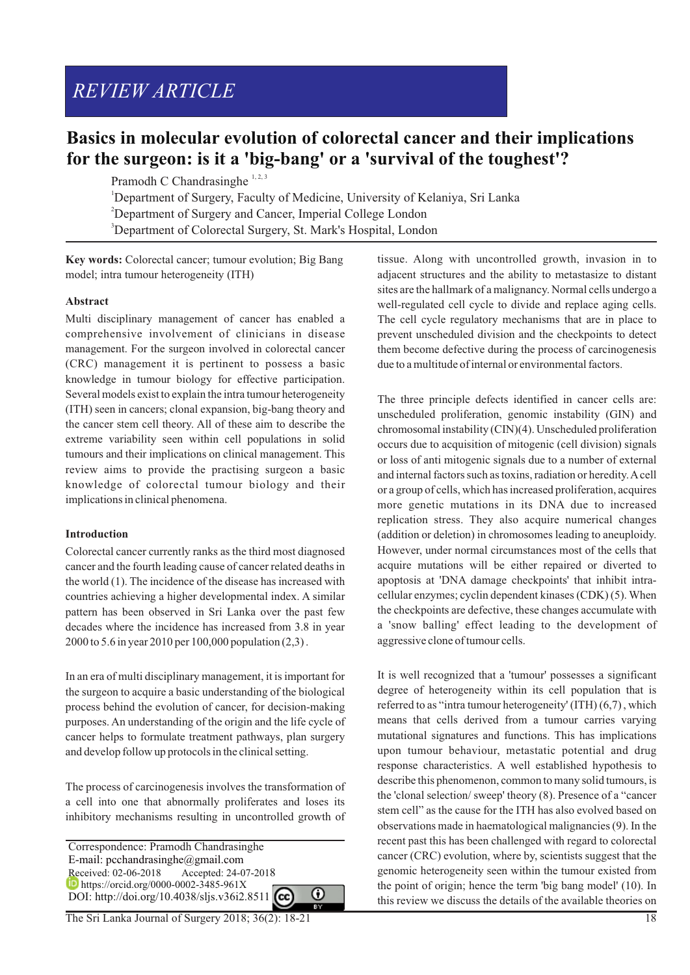# *REVIEW ARTICLE*

# **Basics in molecular evolution of colorectal cancer and their implications for the surgeon: is it a 'big-bang' or a 'survival of the toughest'?**

Pramodh C Chandrasinghe  $1, 2, 3$ 

<sup>1</sup>Department of Surgery, Faculty of Medicine, University of Kelaniya, Sri Lanka

<sup>2</sup>Department of Surgery and Cancer, Imperial College London

<sup>3</sup>Department of Colorectal Surgery, St. Mark's Hospital, London

**Key words:** Colorectal cancer; tumour evolution; Big Bang model; intra tumour heterogeneity (ITH)

# **Abstract**

Multi disciplinary management of cancer has enabled a comprehensive involvement of clinicians in disease management. For the surgeon involved in colorectal cancer (CRC) management it is pertinent to possess a basic knowledge in tumour biology for effective participation. Several models exist to explain the intra tumour heterogeneity (ITH) seen in cancers; clonal expansion, big-bang theory and the cancer stem cell theory. All of these aim to describe the extreme variability seen within cell populations in solid tumours and their implications on clinical management. This review aims to provide the practising surgeon a basic knowledge of colorectal tumour biology and their implications in clinical phenomena.

# **Introduction**

Colorectal cancer currently ranks as the third most diagnosed cancer and the fourth leading cause of cancer related deaths in the world (1). The incidence of the disease has increased with countries achieving a higher developmental index. A similar pattern has been observed in Sri Lanka over the past few decades where the incidence has increased from 3.8 in year 2000 to 5.6 in year 2010 per 100,000 population (2,3) .

In an era of multi disciplinary management, it is important for the surgeon to acquire a basic understanding of the biological process behind the evolution of cancer, for decision-making purposes. An understanding of the origin and the life cycle of cancer helps to formulate treatment pathways, plan surgery and develop follow up protocols in the clinical setting.

The process of carcinogenesis involves the transformation of a cell into one that abnormally proliferates and loses its inhibitory mechanisms resulting in uncontrolled growth of

 Correspondence: Pramodh Chandrasinghe E-mail: pcchandrasinghe@gmail.com<br>Received: 02-06-2018 Accepted: 24-0 Accepted: 24-07-2018 **h** https://orcid.org/0000-0002-3485-961X ⋒ DOI: http://doi.org/10.4038/sljs.v36i2.8511

The Sri Lanka Journal of Surgery 2018; 36(2): 18-21 18

tissue. Along with uncontrolled growth, invasion in to adjacent structures and the ability to metastasize to distant sites are the hallmark of a malignancy. Normal cells undergo a well-regulated cell cycle to divide and replace aging cells. The cell cycle regulatory mechanisms that are in place to prevent unscheduled division and the checkpoints to detect them become defective during the process of carcinogenesis due to a multitude of internal or environmental factors.

The three principle defects identified in cancer cells are: unscheduled proliferation, genomic instability (GIN) and chromosomal instability (CIN)(4). Unscheduled proliferation occurs due to acquisition of mitogenic (cell division) signals or loss of anti mitogenic signals due to a number of external and internal factors such as toxins, radiation or heredity. Acell or a group of cells, which has increased proliferation, acquires more genetic mutations in its DNA due to increased replication stress. They also acquire numerical changes (addition or deletion) in chromosomes leading to aneuploidy. However, under normal circumstances most of the cells that acquire mutations will be either repaired or diverted to apoptosis at 'DNA damage checkpoints' that inhibit intracellular enzymes; cyclin dependent kinases (CDK) (5). When the checkpoints are defective, these changes accumulate with a 'snow balling' effect leading to the development of aggressive clone of tumour cells.

It is well recognized that a 'tumour' possesses a significant degree of heterogeneity within its cell population that is referred to as "intra tumour heterogeneity' (ITH) (6,7) , which means that cells derived from a tumour carries varying mutational signatures and functions. This has implications upon tumour behaviour, metastatic potential and drug response characteristics. A well established hypothesis to describe this phenomenon, common to many solid tumours, is the 'clonal selection/ sweep' theory (8). Presence of a "cancer stem cell" as the cause for the ITH has also evolved based on observations made in haematological malignancies (9). In the recent past this has been challenged with regard to colorectal cancer (CRC) evolution, where by, scientists suggest that the genomic heterogeneity seen within the tumour existed from the point of origin; hence the term 'big bang model' (10). In this review we discuss the details of the available theories on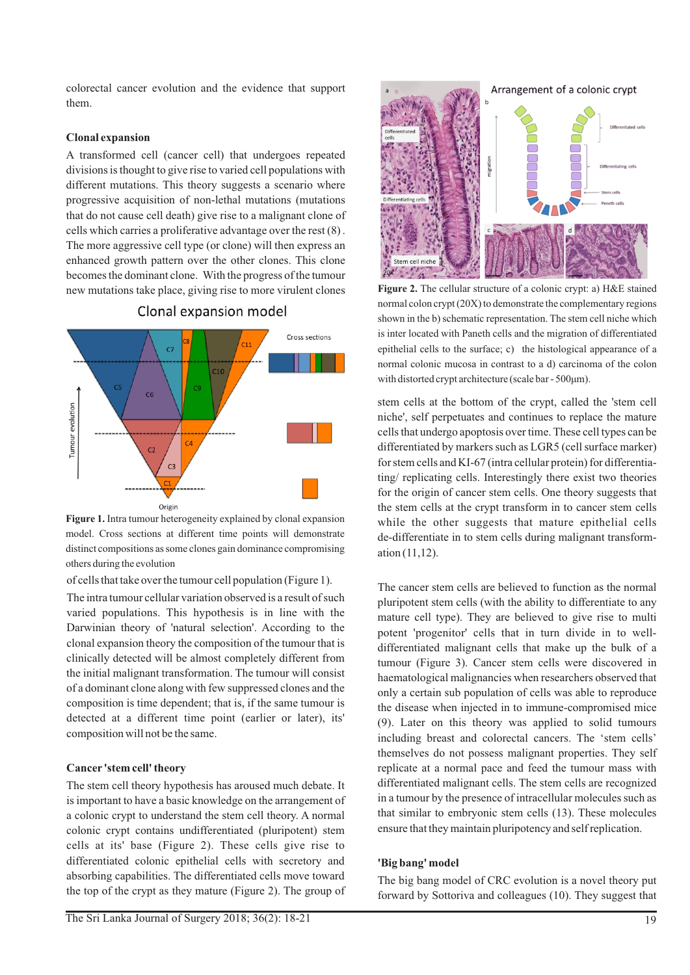colorectal cancer evolution and the evidence that support them.

#### **Clonal expansion**

A transformed cell (cancer cell) that undergoes repeated divisions is thought to give rise to varied cell populations with different mutations. This theory suggests a scenario where progressive acquisition of non-lethal mutations (mutations that do not cause cell death) give rise to a malignant clone of cells which carries a proliferative advantage over the rest (8) . The more aggressive cell type (or clone) will then express an enhanced growth pattern over the other clones. This clone becomes the dominant clone. With the progress of the tumour new mutations take place, giving rise to more virulent clones



Clonal expansion model

**Figure 1.** Intra tumour heterogeneity explained by clonal expansion model. Cross sections at different time points will demonstrate distinct compositions as some clones gain dominance compromising others during the evolution

of cells that take over the tumour cell population (Figure 1).

The intra tumour cellular variation observed is a result of such varied populations. This hypothesis is in line with the Darwinian theory of 'natural selection'. According to the clonal expansion theory the composition of the tumour that is clinically detected will be almost completely different from the initial malignant transformation. The tumour will consist of a dominant clone along with few suppressed clones and the composition is time dependent; that is, if the same tumour is detected at a different time point (earlier or later), its' composition will not be the same.

#### **Cancer 'stem cell' theory**

The stem cell theory hypothesis has aroused much debate. It is important to have a basic knowledge on the arrangement of a colonic crypt to understand the stem cell theory. A normal colonic crypt contains undifferentiated (pluripotent) stem cells at its' base (Figure 2). These cells give rise to differentiated colonic epithelial cells with secretory and absorbing capabilities. The differentiated cells move toward the top of the crypt as they mature (Figure 2). The group of



**Figure 2.** The cellular structure of a colonic crypt: a) H&E stained normal colon crypt (20X) to demonstrate the complementary regions shown in the b) schematic representation. The stem cell niche which is inter located with Paneth cells and the migration of differentiated epithelial cells to the surface; c) the histological appearance of a normal colonic mucosa in contrast to a d) carcinoma of the colon with distorted crypt architecture (scale bar - 500μm).

stem cells at the bottom of the crypt, called the 'stem cell niche', self perpetuates and continues to replace the mature cells that undergo apoptosis over time. These cell types can be differentiated by markers such as LGR5 (cell surface marker) for stem cells and KI-67 (intra cellular protein) for differentiating/ replicating cells. Interestingly there exist two theories for the origin of cancer stem cells. One theory suggests that the stem cells at the crypt transform in to cancer stem cells while the other suggests that mature epithelial cells de-differentiate in to stem cells during malignant transformation (11,12).

The cancer stem cells are believed to function as the normal pluripotent stem cells (with the ability to differentiate to any mature cell type). They are believed to give rise to multi potent 'progenitor' cells that in turn divide in to welldifferentiated malignant cells that make up the bulk of a tumour (Figure 3). Cancer stem cells were discovered in haematological malignancies when researchers observed that only a certain sub population of cells was able to reproduce the disease when injected in to immune-compromised mice (9). Later on this theory was applied to solid tumours including breast and colorectal cancers. The 'stem cells' themselves do not possess malignant properties. They self replicate at a normal pace and feed the tumour mass with differentiated malignant cells. The stem cells are recognized in a tumour by the presence of intracellular molecules such as that similar to embryonic stem cells (13). These molecules ensure that they maintain pluripotency and self replication.

# **'Big bang' model**

The big bang model of CRC evolution is a novel theory put forward by Sottoriva and colleagues (10). They suggest that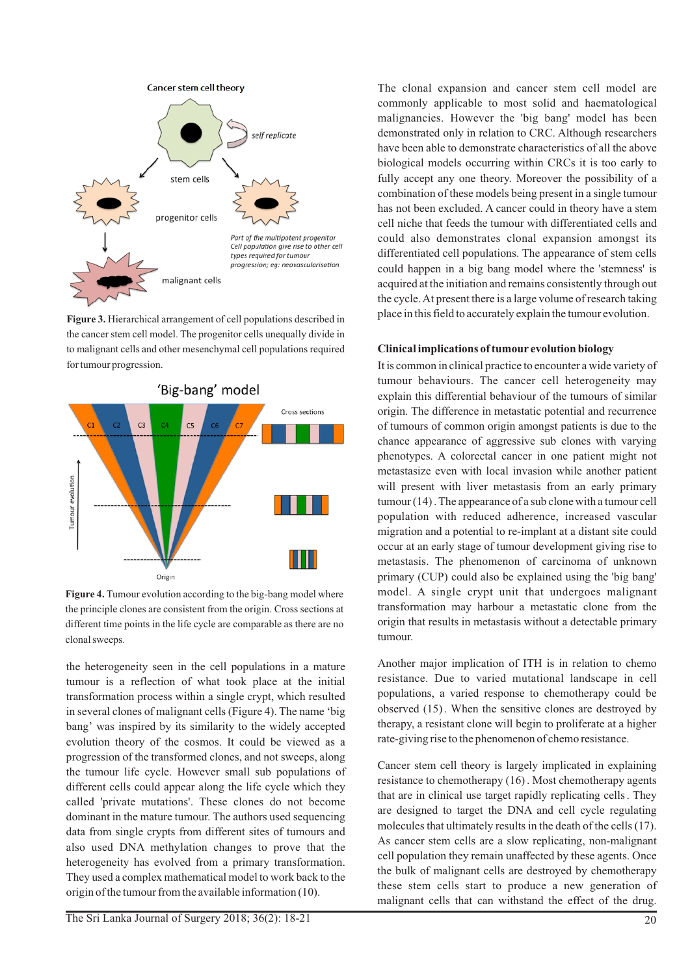

**Figure 3.** Hierarchical arrangement of cell populations described in the cancer stem cell model. The progenitor cells unequally divide in to malignant cells and other mesenchymal cell populations required for tumour progression.



Figure 4. Tumour evolution according to the big-bang model where the principle clones are consistent from the origin. Cross sections at different time points in the life cycle are comparable as there are no clonal sweeps.

the heterogeneity seen in the cell populations in a mature tumour is a reflection of what took place at the initial transformation process within a single crypt, which resulted in several clones of malignant cells (Figure 4). The name 'big bang' was inspired by its similarity to the widely accepted evolution theory of the cosmos. It could be viewed as a progression of the transformed clones, and not sweeps, along the tumour life cycle. However small sub populations of different cells could appear along the life cycle which they called 'private mutations'. These clones do not become dominant in the mature tumour. The authors used sequencing data from single crypts from different sites of tumours and also used DNA methylation changes to prove that the heterogeneity has evolved from a primary transformation. They used a complex mathematical model to work back to the origin of the tumour from the available information (10).

The clonal expansion and cancer stem cell model are commonly applicable to most solid and haematological malignancies. However the 'big bang' model has been demonstrated only in relation to CRC. Although researchers have been able to demonstrate characteristics of all the above biological models occurring within CRCs it is too early to fully accept any one theory. Moreover the possibility of a combination of these models being present in a single tumour has not been excluded. A cancer could in theory have a stem cell niche that feeds the tumour with differentiated cells and could also demonstrates clonal expansion amongst its differentiated cell populations. The appearance of stem cells could happen in a big bang model where the 'stemness' is acquired at the initiation and remains consistently through out the cycle. At present there is a large volume of research taking place in this field to accurately explain the tumour evolution.

# **Clinical implications of tumour evolution biology**

It is common in clinical practice to encounter a wide variety of tumour behaviours. The cancer cell heterogeneity may explain this differential behaviour of the tumours of similar origin. The difference in metastatic potential and recurrence of tumours of common origin amongst patients is due to the chance appearance of aggressive sub clones with varying phenotypes. A colorectal cancer in one patient might not metastasize even with local invasion while another patient will present with liver metastasis from an early primary tumour (14) . The appearance of a sub clone with a tumour cell population with reduced adherence, increased vascular migration and a potential to re-implant at a distant site could occur at an early stage of tumour development giving rise to metastasis. The phenomenon of carcinoma of unknown primary (CUP) could also be explained using the 'big bang' model. A single crypt unit that undergoes malignant transformation may harbour a metastatic clone from the origin that results in metastasis without a detectable primary tumour.

Another major implication of ITH is in relation to chemo resistance. Due to varied mutational landscape in cell populations, a varied response to chemotherapy could be observed (15) . When the sensitive clones are destroyed by therapy, a resistant clone will begin to proliferate at a higher rate-giving rise to the phenomenon of chemo resistance.

Cancer stem cell theory is largely implicated in explaining resistance to chemotherapy (16) . Most chemotherapy agents that are in clinical use target rapidly replicating cells . They are designed to target the DNA and cell cycle regulating molecules that ultimately results in the death of the cells (17). As cancer stem cells are a slow replicating, non-malignant cell population they remain unaffected by these agents. Once the bulk of malignant cells are destroyed by chemotherapy these stem cells start to produce a new generation of malignant cells that can withstand the effect of the drug.